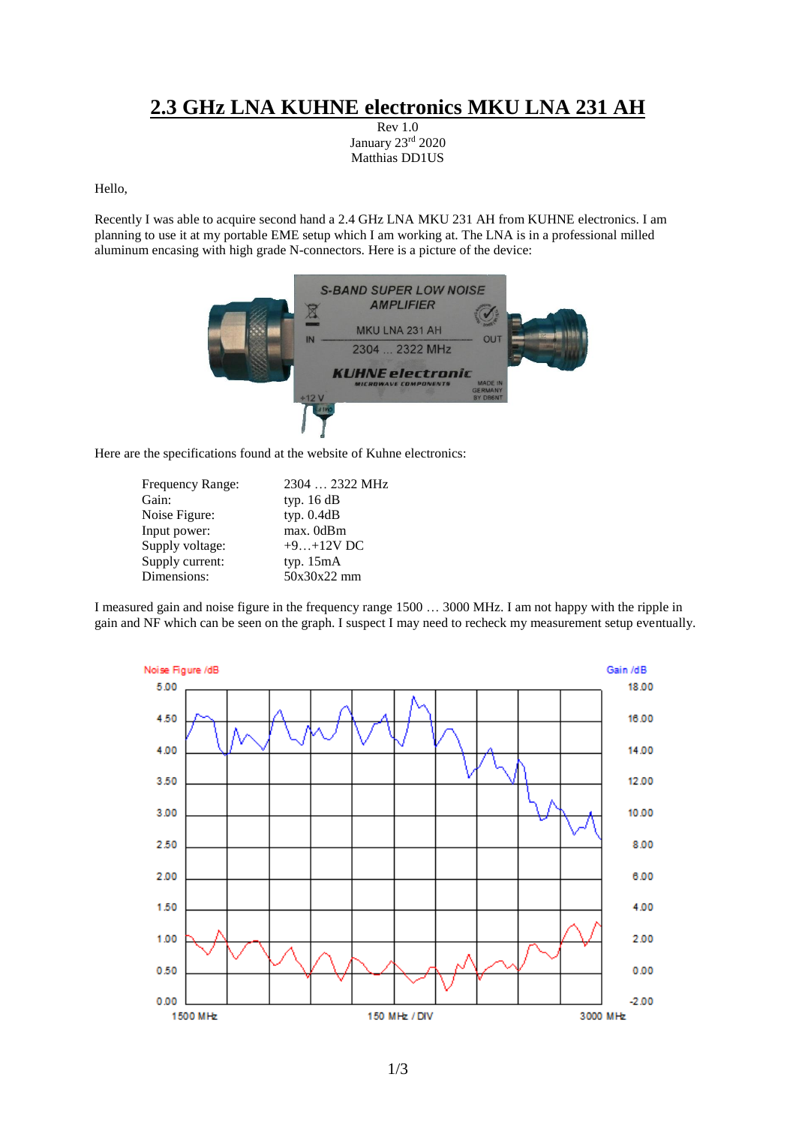## **2.3 GHz LNA KUHNE electronics MKU LNA 231 AH**

Rev 1.0 January 23rd 2020 Matthias DD1US

## Hello,

Recently I was able to acquire second hand a 2.4 GHz LNA MKU 231 AH from KUHNE electronics. I am planning to use it at my portable EME setup which I am working at. The LNA is in a professional milled aluminum encasing with high grade N-connectors. Here is a picture of the device:



Here are the specifications found at the website of Kuhne electronics:

| Frequency Range: | 2304  2322 MHz |
|------------------|----------------|
| Gain:            | typ. 16 dB     |
| Noise Figure:    | typ. $0.4dB$   |
| Input power:     | max. 0dBm      |
| Supply voltage:  | $+9+12V$ DC    |
| Supply current:  | typ. $15mA$    |
| Dimensions:      | 50x30x22 mm    |

I measured gain and noise figure in the frequency range 1500 … 3000 MHz. I am not happy with the ripple in gain and NF which can be seen on the graph. I suspect I may need to recheck my measurement setup eventually.

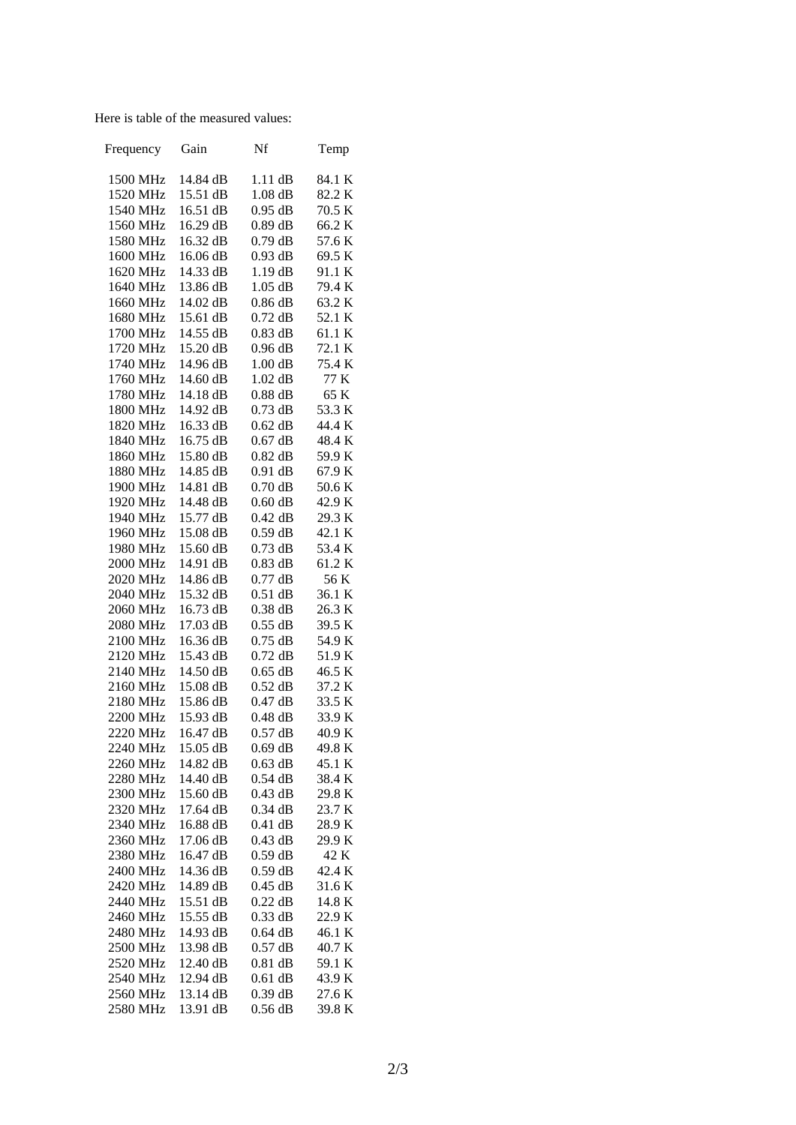Here is table of the measured values:

| Frequency            | Gain                 | Nf                     | Temp             |
|----------------------|----------------------|------------------------|------------------|
| 1500 MHz             | 14.84 dB             | $1.11$ dB              | 84.1 K           |
| 1520 MHz             | 15.51 dB             | $1.08$ dB              | 82.2K            |
| 1540 MHz             | 16.51 dB             | $0.95$ dB              | 70.5 K           |
| 1560 MHz             | 16.29 dB             | $0.89$ dB              | 66.2K            |
| 1580 MHz             | 16.32 dB             | $0.79$ dB              | 57.6K            |
| 1600 MHz             | 16.06 dB             | $0.93$ dB              | 69.5 K           |
| 1620 MHz             | 14.33 dB             | $1.19$ dB              | 91.1 K           |
| 1640 MHz             | 13.86 dB             | $1.05$ dB              | 79.4 K           |
| 1660 MHz             | 14.02 dB             | $0.86$ dB              | 63.2K            |
| 1680 MHz             | 15.61 dB             | $0.72$ dB              | 52.1 K           |
| 1700 MHz             | 14.55 dB             | $0.83$ dB              | 61.1 K           |
| 1720 MHz             | 15.20 dB             | $0.96$ dB              | 72.1 K           |
| 1740 MHz             | 14.96 dB             | 1.00dB                 | 75.4 K           |
| 1760 MHz             | 14.60 dB             | $1.02$ dB              | 77 K             |
| 1780 MHz             | 14.18 dB             | $0.88$ dB              | 65 K             |
| 1800 MHz             | 14.92 dB             | $0.73$ dB              | 53.3 K           |
| 1820 MHz             | 16.33 dB             | $0.62$ dB              | 44.4 K           |
| 1840 MHz             | 16.75 dB             | $0.67$ dB              | 48.4 K           |
|                      | 15.80 dB             | $0.82$ dB              | 59.9K            |
| 1860 MHz<br>1880 MHz | 14.85 dB             | $0.91$ dB              | 67.9K            |
| 1900 MHz             | 14.81 dB             | $0.70$ dB              | 50.6 K           |
| 1920 MHz             | 14.48 dB             | $0.60$ dB              | 42.9K            |
| 1940 MHz             | 15.77 dB             | $0.42$ dB              | 29.3 K           |
|                      |                      |                        | 42.1 K           |
| 1960 MHz             | 15.08 dB             | $0.59$ dB              |                  |
| 1980 MHz             | 15.60 dB             | $0.73$ dB<br>$0.83$ dB | 53.4 K<br>61.2 K |
| 2000 MHz             | 14.91 dB             |                        |                  |
| 2020 MHz             | 14.86 dB             | $0.77$ dB              | 56 K             |
| 2040 MHz             | 15.32 dB<br>16.73 dB | $0.51$ dB<br>$0.38$ dB | 36.1 K<br>26.3 K |
| 2060 MHz<br>2080 MHz | 17.03 dB             | $0.55$ dB              | 39.5 K           |
| 2100 MHz             | 16.36 dB             | $0.75$ dB              | 54.9K            |
| 2120 MHz             | 15.43 dB             | $0.72$ dB              | 51.9K            |
| 2140 MHz             | 14.50 dB             | $0.65$ dB              | 46.5 K           |
| 2160 MHz             | 15.08 dB             | $0.52$ dB              | 37.2 K           |
| 2180 MHz             | 15.86 dB             | $0.47$ dB              | 33.5 K           |
| 2200 MHz             | 15.93 dB             | $0.48$ dB              | 33.9 K           |
| 2220 MHz             | 16.47 dB             | $0.57$ dB              | 40.9 K           |
| 2240 MHz             | 15.05 dB             | $0.69$ dB              | 49.8 K           |
| 2260 MHz             | 14.82 dB             | $0.63$ dB              | 45.1 K           |
| 2280 MHz             | 14.40 dB             | $0.54$ dB              | 38.4 K           |
| 2300 MHz             | 15.60 dB             | $0.43$ dB              | 29.8 K           |
| 2320 MHz             | 17.64 dB             | $0.34$ dB              | 23.7 K           |
| 2340 MHz             | 16.88 dB             | $0.41$ dB              | 28.9K            |
| 2360 MHz             | 17.06 dB             | $0.43$ dB              | 29.9 K           |
| 2380 MHz             | 16.47 dB             | $0.59$ dB              | 42 K             |
| 2400 MHz             | 14.36 dB             | $0.59$ dB              | 42.4 K           |
| 2420 MHz             | 14.89 dB             | $0.45$ dB              | 31.6K            |
| 2440 MHz             | 15.51 dB             | $0.22$ dB              | 14.8 K           |
|                      |                      |                        |                  |
| 2460 MHz             | 15.55 dB             | $0.33$ dB              | 22.9 K           |
| 2480 MHz             | 14.93 dB             | $0.64$ dB              | 46.1 K           |
| 2500 MHz             | 13.98 dB             | $0.57$ dB              | 40.7 K           |
| 2520 MHz             | 12.40 dB             | $0.81$ dB              | 59.1 K           |
| 2540 MHz             | 12.94 dB             | $0.61$ dB              | 43.9 K           |
| 2560 MHz             | 13.14 dB             | $0.39$ dB              | 27.6 K           |
| 2580 MHz             | 13.91 dB             | $0.56$ dB              | 39.8K            |